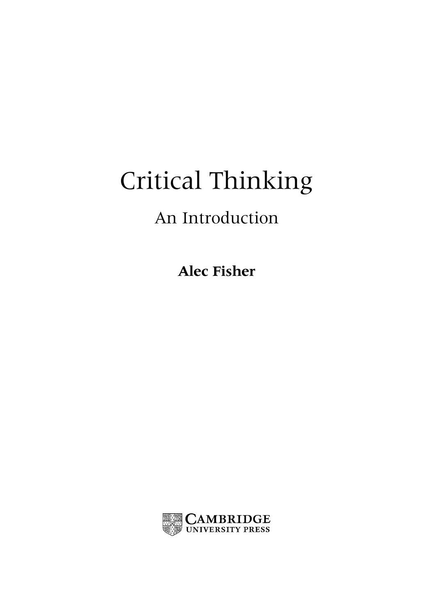# Critical Thinking An Introduction

**Alec Fisher**

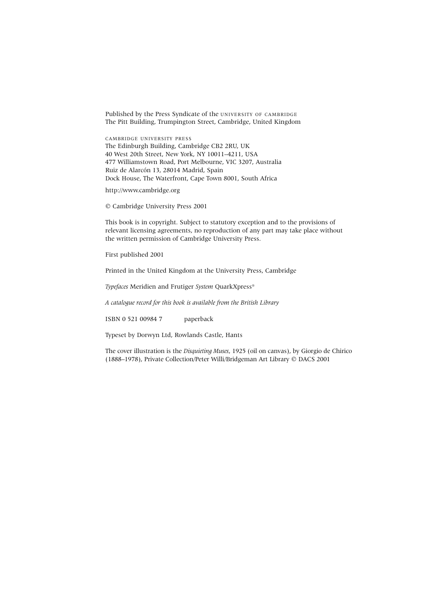Published by the Press Syndicate of the UNIVERSITY OF CAMBRIDGE The Pitt Building, Trumpington Street, Cambridge, United Kingdom

CAMBRIDGE UNIVERSITY PRESS The Edinburgh Building, Cambridge CB2 2RU, UK 40 West 20th Street, New York, NY 10011–4211, USA 477 Williamstown Road, Port Melbourne, VIC 3207, Australia Ruiz de Alarcón 13, 28014 Madrid, Spain Dock House, The Waterfront, Cape Town 8001, South Africa

http://www.cambridge.org

© Cambridge University Press 2001

This book is in copyright. Subject to statutory exception and to the provisions of relevant licensing agreements, no reproduction of any part may take place without the written permission of Cambridge University Press.

First published 2001

Printed in the United Kingdom at the University Press, Cambridge

*Typefaces* Meridien and Frutiger *System* QuarkXpress®

*A catalogue record for this book is available from the British Library*

ISBN 0 521 00984 7 paperback

Typeset by Dorwyn Ltd, Rowlands Castle, Hants

The cover illustration is the *Disquieting Muses*, 1925 (oil on canvas), by Giorgio de Chirico (1888–1978), Private Collection/Peter Willi/Bridgeman Art Library © DACS 2001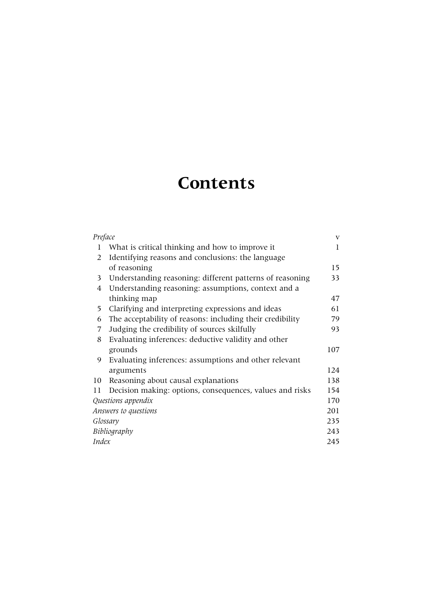### **Contents**

| Preface            |                                                           | $\mathbf{V}$ |
|--------------------|-----------------------------------------------------------|--------------|
| 1                  | What is critical thinking and how to improve it           | 1            |
| 2                  | Identifying reasons and conclusions: the language         |              |
|                    | of reasoning                                              | 15           |
| 3                  | Understanding reasoning: different patterns of reasoning  | 33           |
| 4                  | Understanding reasoning: assumptions, context and a       |              |
|                    | thinking map                                              | 47           |
| 5                  | Clarifying and interpreting expressions and ideas         | 61           |
| 6                  | The acceptability of reasons: including their credibility | 79           |
| 7                  | Judging the credibility of sources skilfully              | 93           |
| 8                  | Evaluating inferences: deductive validity and other       |              |
|                    | grounds                                                   | 107          |
| 9                  | Evaluating inferences: assumptions and other relevant     |              |
|                    | arguments                                                 | 124          |
| 10                 | Reasoning about causal explanations                       | 138          |
| 11                 | Decision making: options, consequences, values and risks  | 154          |
| Questions appendix |                                                           | 170          |
|                    | Answers to questions                                      |              |
| Glossary           |                                                           | 235          |
|                    | Bibliography                                              |              |
| <b>Index</b>       |                                                           | 245          |
|                    |                                                           |              |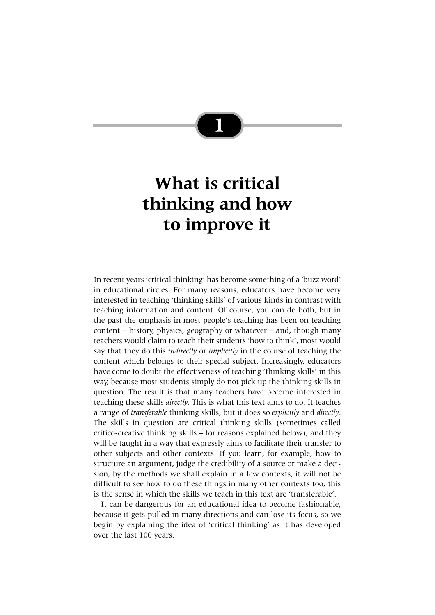

## **What is critical thinking and how to improve it**

In recent years 'critical thinking' has become something of a 'buzz word' in educational circles. For many reasons, educators have become very interested in teaching 'thinking skills' of various kinds in contrast with teaching information and content. Of course, you can do both, but in the past the emphasis in most people's teaching has been on teaching content – history, physics, geography or whatever – and, though many teachers would claim to teach their students 'how to think', most would say that they do this *indirectly* or *implicitly* in the course of teaching the content which belongs to their special subject. Increasingly, educators have come to doubt the effectiveness of teaching 'thinking skills' in this way, because most students simply do not pick up the thinking skills in question. The result is that many teachers have become interested in teaching these skills *directly*. This is what this text aims to do. It teaches a range of *transferable* thinking skills, but it does so *explicitly* and *directly*. The skills in question are critical thinking skills (sometimes called critico-creative thinking skills – for reasons explained below), and they will be taught in a way that expressly aims to facilitate their transfer to other subjects and other contexts. If you learn, for example, how to structure an argument, judge the credibility of a source or make a decision, by the methods we shall explain in a few contexts, it will not be difficult to see how to do these things in many other contexts too; this is the sense in which the skills we teach in this text are 'transferable'.

It can be dangerous for an educational idea to become fashionable, because it gets pulled in many directions and can lose its focus, so we begin by explaining the idea of 'critical thinking' as it has developed over the last 100 years.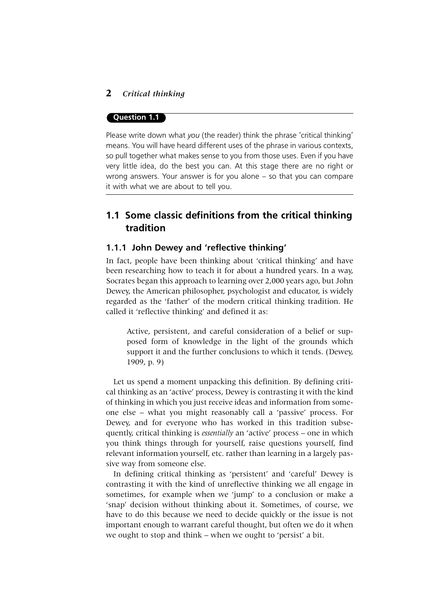#### **Question 1.1**

Please write down what *you* (the reader) think the phrase 'critical thinking' means. You will have heard different uses of the phrase in various contexts, so pull together what makes sense to you from those uses. Even if you have very little idea, do the best you can. At this stage there are no right or wrong answers. Your answer is for you alone – so that you can compare it with what we are about to tell you.

#### **1.1 Some classic definitions from the critical thinking tradition**

#### **1.1.1 John Dewey and 'reflective thinking'**

In fact, people have been thinking about 'critical thinking' and have been researching how to teach it for about a hundred years. In a way, Socrates began this approach to learning over 2,000 years ago, but John Dewey, the American philosopher, psychologist and educator, is widely regarded as the 'father' of the modern critical thinking tradition. He called it 'reflective thinking' and defined it as:

Active, persistent, and careful consideration of a belief or supposed form of knowledge in the light of the grounds which support it and the further conclusions to which it tends. (Dewey, 1909, p. 9)

Let us spend a moment unpacking this definition. By defining critical thinking as an 'active' process, Dewey is contrasting it with the kind of thinking in which you just receive ideas and information from someone else – what you might reasonably call a 'passive' process. For Dewey, and for everyone who has worked in this tradition subsequently, critical thinking is *essentially* an 'active' process – one in which you think things through for yourself, raise questions yourself, find relevant information yourself, etc. rather than learning in a largely passive way from someone else.

In defining critical thinking as 'persistent' and 'careful' Dewey is contrasting it with the kind of unreflective thinking we all engage in sometimes, for example when we 'jump' to a conclusion or make a 'snap' decision without thinking about it. Sometimes, of course, we have to do this because we need to decide quickly or the issue is not important enough to warrant careful thought, but often we do it when we ought to stop and think – when we ought to 'persist' a bit.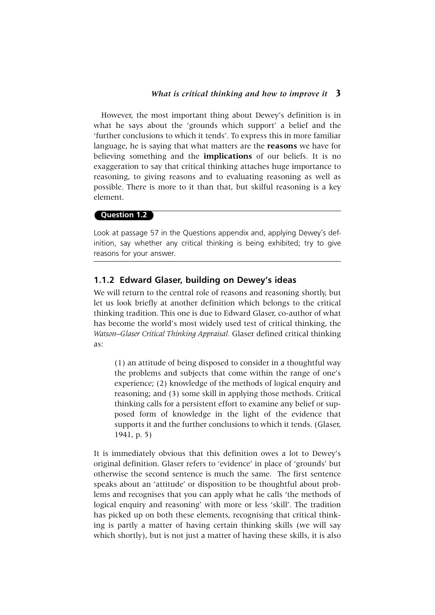However, the most important thing about Dewey's definition is in what he says about the 'grounds which support' a belief and the 'further conclusions to which it tends'. To express this in more familiar language, he is saying that what matters are the **reasons** we have for believing something and the **implications** of our beliefs. It is no exaggeration to say that critical thinking attaches huge importance to reasoning, to giving reasons and to evaluating reasoning as well as possible. There is more to it than that, but skilful reasoning is a key element.

#### **Question 1.2**

Look at passage 57 in the Questions appendix and, applying Dewey's definition, say whether any critical thinking is being exhibited; try to give reasons for your answer.

#### **1.1.2 Edward Glaser, building on Dewey's ideas**

We will return to the central role of reasons and reasoning shortly, but let us look briefly at another definition which belongs to the critical thinking tradition. This one is due to Edward Glaser, co-author of what has become the world's most widely used test of critical thinking, the *Watson–Glaser Critical Thinking Appraisal.* Glaser defined critical thinking as:

(1) an attitude of being disposed to consider in a thoughtful way the problems and subjects that come within the range of one's experience; (2) knowledge of the methods of logical enquiry and reasoning; and (3) some skill in applying those methods. Critical thinking calls for a persistent effort to examine any belief or supposed form of knowledge in the light of the evidence that supports it and the further conclusions to which it tends. (Glaser, 1941, p. 5)

It is immediately obvious that this definition owes a lot to Dewey's original definition. Glaser refers to 'evidence' in place of 'grounds' but otherwise the second sentence is much the same. The first sentence speaks about an 'attitude' or disposition to be thoughtful about problems and recognises that you can apply what he calls 'the methods of logical enquiry and reasoning' with more or less 'skill'. The tradition has picked up on both these elements, recognising that critical thinking is partly a matter of having certain thinking skills (we will say which shortly), but is not just a matter of having these skills, it is also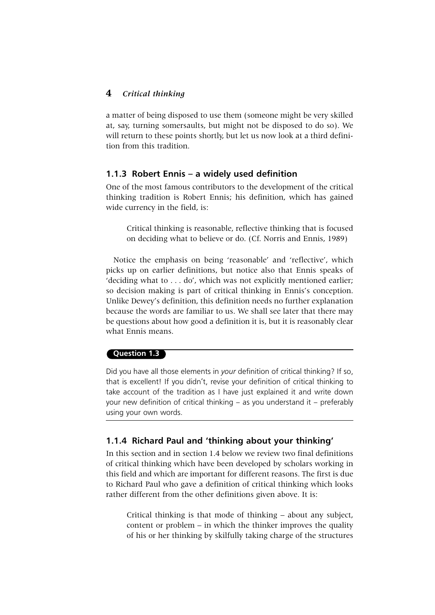a matter of being disposed to use them (someone might be very skilled at, say, turning somersaults, but might not be disposed to do so). We will return to these points shortly, but let us now look at a third definition from this tradition.

#### **1.1.3 Robert Ennis – a widely used definition**

One of the most famous contributors to the development of the critical thinking tradition is Robert Ennis; his definition, which has gained wide currency in the field, is:

Critical thinking is reasonable, reflective thinking that is focused on deciding what to believe or do. (Cf. Norris and Ennis, 1989)

Notice the emphasis on being 'reasonable' and 'reflective', which picks up on earlier definitions, but notice also that Ennis speaks of 'deciding what to . . . do', which was not explicitly mentioned earlier; so decision making is part of critical thinking in Ennis's conception. Unlike Dewey's definition, this definition needs no further explanation because the words are familiar to us. We shall see later that there may be questions about how good a definition it is, but it is reasonably clear what Ennis means.

#### **Question 1.3**

Did you have all those elements in *your* definition of critical thinking? If so, that is excellent! If you didn't, revise your definition of critical thinking to take account of the tradition as I have just explained it and write down your new definition of critical thinking – as you understand it – preferably using your own words.

#### **1.1.4 Richard Paul and 'thinking about your thinking'**

In this section and in section 1.4 below we review two final definitions of critical thinking which have been developed by scholars working in this field and which are important for different reasons. The first is due to Richard Paul who gave a definition of critical thinking which looks rather different from the other definitions given above. It is:

Critical thinking is that mode of thinking – about any subject, content or problem – in which the thinker improves the quality of his or her thinking by skilfully taking charge of the structures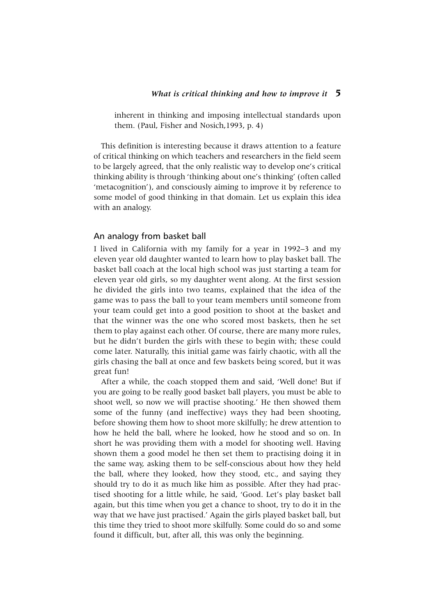inherent in thinking and imposing intellectual standards upon them. (Paul, Fisher and Nosich,1993, p. 4)

This definition is interesting because it draws attention to a feature of critical thinking on which teachers and researchers in the field seem to be largely agreed, that the only realistic way to develop one's critical thinking ability is through 'thinking about one's thinking' (often called 'metacognition'), and consciously aiming to improve it by reference to some model of good thinking in that domain. Let us explain this idea with an analogy.

I lived in California with my family for a year in 1992–3 and my eleven year old daughter wanted to learn how to play basket ball. The basket ball coach at the local high school was just starting a team for eleven year old girls, so my daughter went along. At the first session he divided the girls into two teams, explained that the idea of the game was to pass the ball to your team members until someone from your team could get into a good position to shoot at the basket and that the winner was the one who scored most baskets, then he set them to play against each other. Of course, there are many more rules, but he didn't burden the girls with these to begin with; these could come later. Naturally, this initial game was fairly chaotic, with all the girls chasing the ball at once and few baskets being scored, but it was great fun!

After a while, the coach stopped them and said, 'Well done! But if you are going to be really good basket ball players, you must be able to shoot well, so now we will practise shooting.' He then showed them some of the funny (and ineffective) ways they had been shooting, before showing them how to shoot more skilfully; he drew attention to how he held the ball, where he looked, how he stood and so on. In short he was providing them with a model for shooting well. Having shown them a good model he then set them to practising doing it in the same way, asking them to be self-conscious about how they held the ball, where they looked, how they stood, etc., and saying they should try to do it as much like him as possible. After they had practised shooting for a little while, he said, 'Good. Let's play basket ball again, but this time when you get a chance to shoot, try to do it in the way that we have just practised.' Again the girls played basket ball, but this time they tried to shoot more skilfully. Some could do so and some found it difficult, but, after all, this was only the beginning.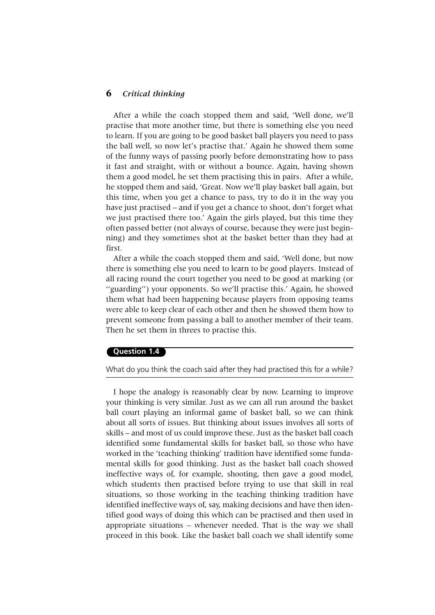After a while the coach stopped them and said, 'Well done, we'll practise that more another time, but there is something else you need to learn. If you are going to be good basket ball players you need to pass the ball well, so now let's practise that.' Again he showed them some of the funny ways of passing poorly before demonstrating how to pass it fast and straight, with or without a bounce. Again, having shown them a good model, he set them practising this in pairs. After a while, he stopped them and said, 'Great. Now we'll play basket ball again, but this time, when you get a chance to pass, try to do it in the way you have just practised – and if you get a chance to shoot, don't forget what we just practised there too.' Again the girls played, but this time they often passed better (not always of course, because they were just beginning) and they sometimes shot at the basket better than they had at first.

After a while the coach stopped them and said, 'Well done, but now there is something else you need to learn to be good players. Instead of all racing round the court together you need to be good at marking (or ''guarding'') your opponents. So we'll practise this.' Again, he showed them what had been happening because players from opposing teams were able to keep clear of each other and then he showed them how to prevent someone from passing a ball to another member of their team. Then he set them in threes to practise this.

#### **Question 1.4**

What do you think the coach said after they had practised this for a while?

I hope the analogy is reasonably clear by now. Learning to improve your thinking is very similar. Just as we can all run around the basket ball court playing an informal game of basket ball, so we can think about all sorts of issues. But thinking about issues involves all sorts of skills – and most of us could improve these. Just as the basket ball coach identified some fundamental skills for basket ball, so those who have worked in the 'teaching thinking' tradition have identified some fundamental skills for good thinking. Just as the basket ball coach showed ineffective ways of, for example, shooting, then gave a good model, which students then practised before trying to use that skill in real situations, so those working in the teaching thinking tradition have identified ineffective ways of, say, making decisions and have then identified good ways of doing this which can be practised and then used in appropriate situations – whenever needed. That is the way we shall proceed in this book. Like the basket ball coach we shall identify some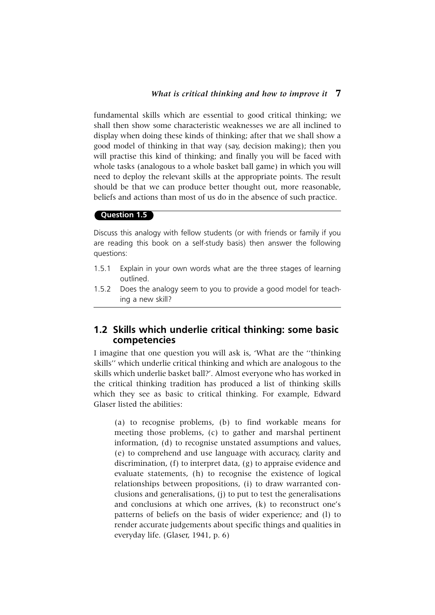fundamental skills which are essential to good critical thinking; we shall then show some characteristic weaknesses we are all inclined to display when doing these kinds of thinking; after that we shall show a good model of thinking in that way (say, decision making); then you will practise this kind of thinking; and finally you will be faced with whole tasks (analogous to a whole basket ball game) in which you will need to deploy the relevant skills at the appropriate points. The result should be that we can produce better thought out, more reasonable, beliefs and actions than most of us do in the absence of such practice.

#### **Question 1.5**

Discuss this analogy with fellow students (or with friends or family if you are reading this book on a self-study basis) then answer the following questions:

- 1.5.1 Explain in your own words what are the three stages of learning outlined.
- 1.5.2 Does the analogy seem to you to provide a good model for teaching a new skill?

#### **1.2 Skills which underlie critical thinking: some basic competencies**

I imagine that one question you will ask is, 'What are the ''thinking skills'' which underlie critical thinking and which are analogous to the skills which underlie basket ball?'. Almost everyone who has worked in the critical thinking tradition has produced a list of thinking skills which they see as basic to critical thinking. For example, Edward Glaser listed the abilities:

(a) to recognise problems, (b) to find workable means for meeting those problems, (c) to gather and marshal pertinent information, (d) to recognise unstated assumptions and values, (e) to comprehend and use language with accuracy, clarity and discrimination, (f) to interpret data, (g) to appraise evidence and evaluate statements, (h) to recognise the existence of logical relationships between propositions, (i) to draw warranted conclusions and generalisations, (j) to put to test the generalisations and conclusions at which one arrives, (k) to reconstruct one's patterns of beliefs on the basis of wider experience; and (l) to render accurate judgements about specific things and qualities in everyday life. (Glaser, 1941, p. 6)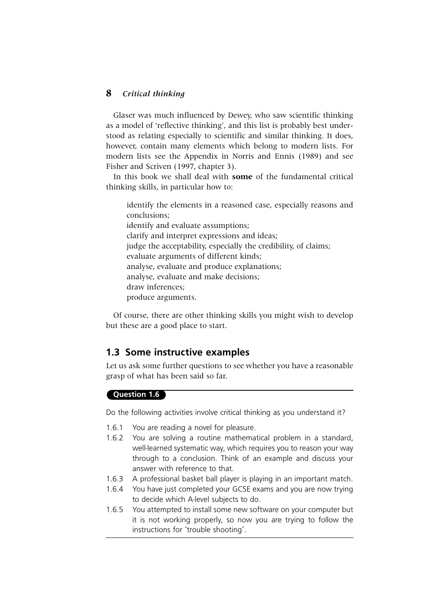Glaser was much influenced by Dewey, who saw scientific thinking as a model of 'reflective thinking', and this list is probably best understood as relating especially to scientific and similar thinking. It does, however, contain many elements which belong to modern lists. For modern lists see the Appendix in Norris and Ennis (1989) and see Fisher and Scriven (1997, chapter 3).

In this book we shall deal with **some** of the fundamental critical thinking skills, in particular how to:

identify the elements in a reasoned case, especially reasons and conclusions; identify and evaluate assumptions; clarify and interpret expressions and ideas; judge the acceptability, especially the credibility, of claims; evaluate arguments of different kinds; analyse, evaluate and produce explanations; analyse, evaluate and make decisions; draw inferences; produce arguments.

Of course, there are other thinking skills you might wish to develop but these are a good place to start.

#### **1.3 Some instructive examples**

Let us ask some further questions to see whether you have a reasonable grasp of what has been said so far.

#### **Question 1.6**

Do the following activities involve critical thinking as you understand it?

- 1.6.1 You are reading a novel for pleasure.
- 1.6.2 You are solving a routine mathematical problem in a standard, well-learned systematic way, which requires you to reason your way through to a conclusion. Think of an example and discuss your answer with reference to that.
- 1.6.3 A professional basket ball player is playing in an important match.
- 1.6.4 You have just completed your GCSE exams and you are now trying to decide which A-level subjects to do.
- 1.6.5 You attempted to install some new software on your computer but it is not working properly, so now you are trying to follow the instructions for 'trouble shooting'.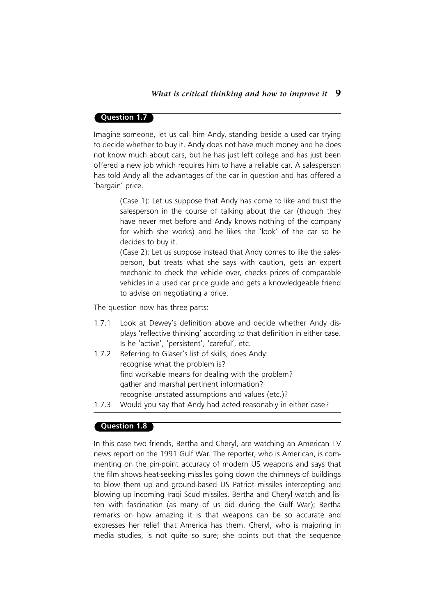#### **Question 1.7**

Imagine someone, let us call him Andy, standing beside a used car trying to decide whether to buy it. Andy does not have much money and he does not know much about cars, but he has just left college and has just been offered a new job which requires him to have a reliable car. A salesperson has told Andy all the advantages of the car in question and has offered a 'bargain' price.

> (Case 1): Let us suppose that Andy has come to like and trust the salesperson in the course of talking about the car (though they have never met before and Andy knows nothing of the company for which she works) and he likes the 'look' of the car so he decides to buy it.

> (Case 2): Let us suppose instead that Andy comes to like the salesperson, but treats what she says with caution, gets an expert mechanic to check the vehicle over, checks prices of comparable vehicles in a used car price guide and gets a knowledgeable friend to advise on negotiating a price.

The question now has three parts:

- 1.7.1 Look at Dewey's definition above and decide whether Andy displays 'reflective thinking' according to that definition in either case. Is he 'active', 'persistent', 'careful', etc.
- 1.7.2 Referring to Glaser's list of skills, does Andy: recognise what the problem is? find workable means for dealing with the problem? gather and marshal pertinent information? recognise unstated assumptions and values (etc.)?
- 1.7.3 Would you say that Andy had acted reasonably in either case?

#### **Question 1.8**

In this case two friends, Bertha and Cheryl, are watching an American TV news report on the 1991 Gulf War. The reporter, who is American, is commenting on the pin-point accuracy of modern US weapons and says that the film shows heat-seeking missiles going down the chimneys of buildings to blow them up and ground-based US Patriot missiles intercepting and blowing up incoming Iraqi Scud missiles. Bertha and Cheryl watch and listen with fascination (as many of us did during the Gulf War); Bertha remarks on how amazing it is that weapons can be so accurate and expresses her relief that America has them. Cheryl, who is majoring in media studies, is not quite so sure; she points out that the sequence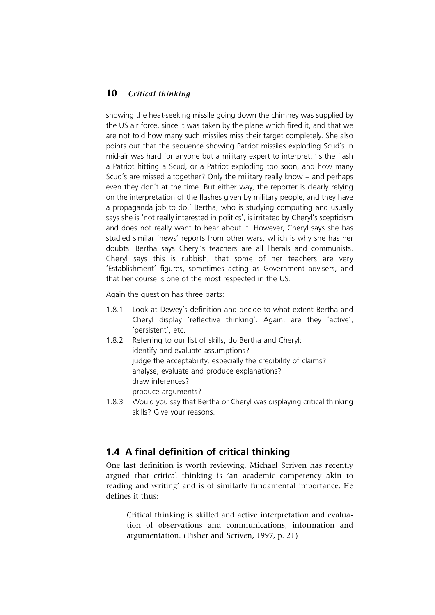showing the heat-seeking missile going down the chimney was supplied by the US air force, since it was taken by the plane which fired it, and that we are not told how many such missiles miss their target completely. She also points out that the sequence showing Patriot missiles exploding Scud's in mid-air was hard for anyone but a military expert to interpret: 'Is the flash a Patriot hitting a Scud, or a Patriot exploding too soon, and how many Scud's are missed altogether? Only the military really know – and perhaps even they don't at the time. But either way, the reporter is clearly relying on the interpretation of the flashes given by military people, and they have a propaganda job to do.' Bertha, who is studying computing and usually says she is 'not really interested in politics', is irritated by Cheryl's scepticism and does not really want to hear about it. However, Cheryl says she has studied similar 'news' reports from other wars, which is why she has her doubts. Bertha says Cheryl's teachers are all liberals and communists. Cheryl says this is rubbish, that some of her teachers are very 'Establishment' figures, sometimes acting as Government advisers, and that her course is one of the most respected in the US.

Again the question has three parts:

| 1.8.1 Look at Dewey's definition and decide to what extent Bertha and      |
|----------------------------------------------------------------------------|
| Cheryl display 'reflective thinking'. Again, are they 'active',            |
| 'persistent', etc.                                                         |
| 1.8.2 Referring to our list of skills, do Bertha and Cheryl:               |
| identify and evaluate assumptions?                                         |
| judge the acceptability, especially the credibility of claims?             |
| analyse, evaluate and produce explanations?                                |
| draw inferences?                                                           |
| produce arguments?                                                         |
| 1.0.2 Mould you can that Destha or Charyl was displaying seitical thinking |

1.8.3 Would you say that Bertha or Cheryl was displaying critical thinking skills? Give your reasons.

### **1.4 A final definition of critical thinking**

One last definition is worth reviewing. Michael Scriven has recently argued that critical thinking is 'an academic competency akin to reading and writing' and is of similarly fundamental importance. He defines it thus:

Critical thinking is skilled and active interpretation and evaluation of observations and communications, information and argumentation. (Fisher and Scriven, 1997, p. 21)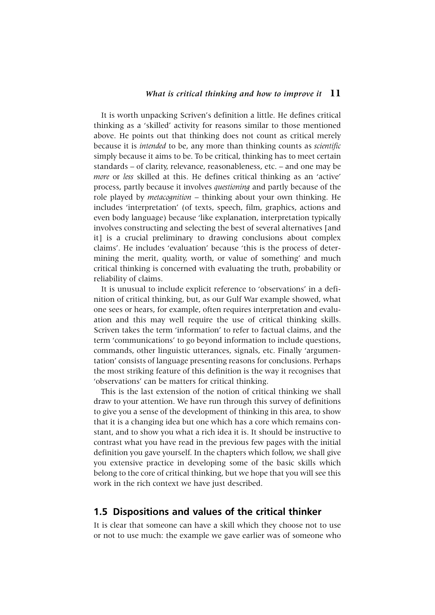It is worth unpacking Scriven's definition a little. He defines critical thinking as a 'skilled' activity for reasons similar to those mentioned above. He points out that thinking does not count as critical merely because it is *intended* to be, any more than thinking counts as *scientific* simply because it aims to be. To be critical, thinking has to meet certain standards – of clarity, relevance, reasonableness, etc. – and one may be *more* or *less* skilled at this. He defines critical thinking as an 'active' process, partly because it involves *questioning* and partly because of the role played by *metacognition* – thinking about your own thinking. He includes 'interpretation' (of texts, speech, film, graphics, actions and even body language) because 'like explanation, interpretation typically involves constructing and selecting the best of several alternatives [and it] is a crucial preliminary to drawing conclusions about complex claims'. He includes 'evaluation' because 'this is the process of determining the merit, quality, worth, or value of something' and much critical thinking is concerned with evaluating the truth, probability or reliability of claims.

It is unusual to include explicit reference to 'observations' in a definition of critical thinking, but, as our Gulf War example showed, what one sees or hears, for example, often requires interpretation and evaluation and this may well require the use of critical thinking skills. Scriven takes the term 'information' to refer to factual claims, and the term 'communications' to go beyond information to include questions, commands, other linguistic utterances, signals, etc. Finally 'argumentation' consists of language presenting reasons for conclusions. Perhaps the most striking feature of this definition is the way it recognises that 'observations' can be matters for critical thinking.

This is the last extension of the notion of critical thinking we shall draw to your attention. We have run through this survey of definitions to give you a sense of the development of thinking in this area, to show that it is a changing idea but one which has a core which remains constant, and to show you what a rich idea it is. It should be instructive to contrast what you have read in the previous few pages with the initial definition you gave yourself. In the chapters which follow, we shall give you extensive practice in developing some of the basic skills which belong to the core of critical thinking, but we hope that you will see this work in the rich context we have just described.

#### **1.5 Dispositions and values of the critical thinker**

It is clear that someone can have a skill which they choose not to use or not to use much: the example we gave earlier was of someone who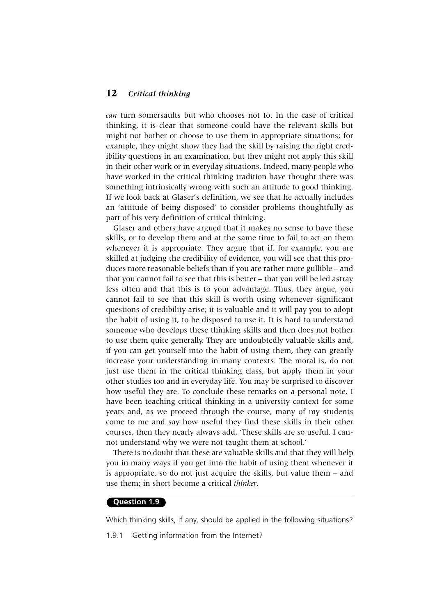*can* turn somersaults but who chooses not to. In the case of critical thinking, it is clear that someone could have the relevant skills but might not bother or choose to use them in appropriate situations; for example, they might show they had the skill by raising the right credibility questions in an examination, but they might not apply this skill in their other work or in everyday situations. Indeed, many people who have worked in the critical thinking tradition have thought there was something intrinsically wrong with such an attitude to good thinking. If we look back at Glaser's definition, we see that he actually includes an 'attitude of being disposed' to consider problems thoughtfully as part of his very definition of critical thinking.

Glaser and others have argued that it makes no sense to have these skills, or to develop them and at the same time to fail to act on them whenever it is appropriate. They argue that if, for example, you are skilled at judging the credibility of evidence, you will see that this produces more reasonable beliefs than if you are rather more gullible – and that you cannot fail to see that this is better – that you will be led astray less often and that this is to your advantage. Thus, they argue, you cannot fail to see that this skill is worth using whenever significant questions of credibility arise; it is valuable and it will pay you to adopt the habit of using it, to be disposed to use it. It is hard to understand someone who develops these thinking skills and then does not bother to use them quite generally. They are undoubtedly valuable skills and, if you can get yourself into the habit of using them, they can greatly increase your understanding in many contexts. The moral is, do not just use them in the critical thinking class, but apply them in your other studies too and in everyday life. You may be surprised to discover how useful they are. To conclude these remarks on a personal note, I have been teaching critical thinking in a university context for some years and, as we proceed through the course, many of my students come to me and say how useful they find these skills in their other courses, then they nearly always add, 'These skills are so useful, I cannot understand why we were not taught them at school.'

There is no doubt that these are valuable skills and that they will help you in many ways if you get into the habit of using them whenever it is appropriate, so do not just acquire the skills, but value them – and use them; in short become a critical *thinker*.

#### **Question 1.9**

Which thinking skills, if any, should be applied in the following situations?

1.9.1 Getting information from the Internet?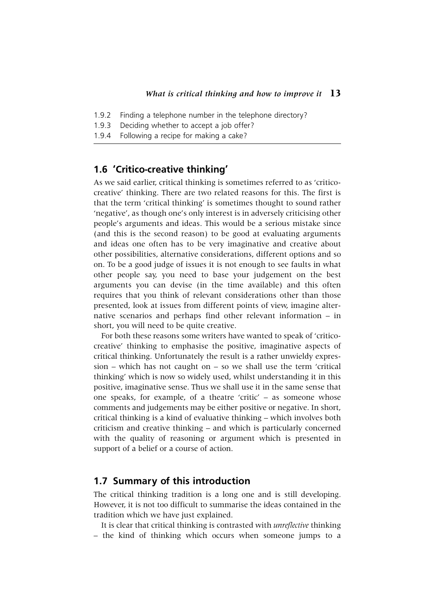- 1.9.2 Finding a telephone number in the telephone directory?
- 1.9.3 Deciding whether to accept a job offer?
- 1.9.4 Following a recipe for making a cake?

#### **1.6 'Critico-creative thinking'**

As we said earlier, critical thinking is sometimes referred to as 'criticocreative' thinking. There are two related reasons for this. The first is that the term 'critical thinking' is sometimes thought to sound rather 'negative', as though one's only interest is in adversely criticising other people's arguments and ideas. This would be a serious mistake since (and this is the second reason) to be good at evaluating arguments and ideas one often has to be very imaginative and creative about other possibilities, alternative considerations, different options and so on. To be a good judge of issues it is not enough to see faults in what other people say, you need to base your judgement on the best arguments you can devise (in the time available) and this often requires that you think of relevant considerations other than those presented, look at issues from different points of view, imagine alternative scenarios and perhaps find other relevant information – in short, you will need to be quite creative.

For both these reasons some writers have wanted to speak of 'criticocreative' thinking to emphasise the positive, imaginative aspects of critical thinking. Unfortunately the result is a rather unwieldy expres $sion$  – which has not caught on – so we shall use the term 'critical thinking' which is now so widely used, whilst understanding it in this positive, imaginative sense. Thus we shall use it in the same sense that one speaks, for example, of a theatre 'critic' – as someone whose comments and judgements may be either positive or negative. In short, critical thinking is a kind of evaluative thinking – which involves both criticism and creative thinking – and which is particularly concerned with the quality of reasoning or argument which is presented in support of a belief or a course of action.

#### **1.7 Summary of this introduction**

The critical thinking tradition is a long one and is still developing. However, it is not too difficult to summarise the ideas contained in the tradition which we have just explained.

It is clear that critical thinking is contrasted with *unreflective* thinking – the kind of thinking which occurs when someone jumps to a